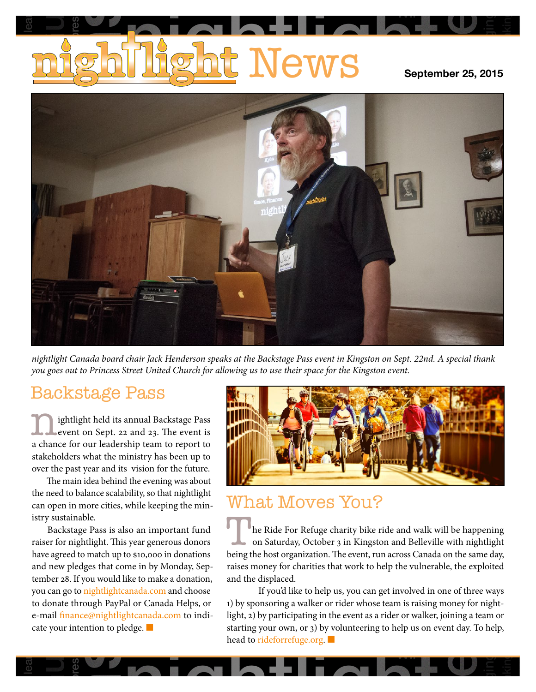# <u>t</u> News Guelphia lear **ires** e<br>alcoholism<br>alcoholism

Wii

longing

rethinking



*nightlight Canada board chair Jack Henderson speaks at the Backstage Pass event in Kingston on Sept. 22nd. A special thank you goes out to Princess Street United Church for allowing us to use their space for the Kingston event.*

### Backstage Pass

looking and a superior  $\log_{10}(x)$  and  $\log_{10}(x)$  are event on Sept. 22 and Levent on Sept. 22 and 23. The event is<br>a chance for our leadership team to report to<br>stakeholders what the ministry has been up to<br>over the past year and its vision for the future. 1. Ightlight held its annual Backstage Pass<br>event on Sept. 22 and 23. The event is<br>a chance for our leadership team to report to event on Sept. 22 and 23. The event is a chance for our leadership team to report to stakeholders what the ministry has been up to over the past year and its vision for the future.

he past year and its vision for the future.<br>he main idea behind the evening was about<br>ed to balance scalability, so that nightlight<br>pen in more cities while keeping the min can open in more cities, while keeping the min-The main idea behind the evening was about the need to balance scalability, so that nightlight istry sustainable.

niable.<br>
In the Ride For Refuge charity bike ride and walk was that also an important fund<br>
le Ride For Refuge charity bike ride and walk was ightlight. This year generous donors<br>
ledges that come in by Monday, Seprement a 10,000 in donations<br>
in by Monday, Sep-<br>
to make a donation, and the disp<br>
da.com and choose If you to donate through PayPal or Canada Helps, or<br>e-mail finance@nightlightcanada.com to indicate your intention to pledge. h in n<br>taina<br>kstag<br>r nigl<br>eed to<br>*r* pled  $\begin{array}{c} \text{so an important fund} \\ \text{we are energy donors} \end{array}$ bu can gc<br>donate<br>mail fin<br>te your i r fc<br>agi<br>er learn-from-others and a set of the control of the control of the control of the control of the control of the control of the control of the control of the control of the control of the control of the control of the control the n<br>can c<br>istry<br>F<br>raise:<br>have<br>and 1 to donate through PayPal or Canada Helps, or<br>a mail finance@nightlightcanada.com to indihave agreed to match up to  $\frac{6}{5}$  ooo in donations Backstage Pass is also an important fund raiser for nightlight. This year generous donors and new pledges that come in by Monday, September 28. If you would like to make a donation, you can go to nightlightcanada.com and choose cate your intention to pledge. ■



## In- What Moves You?

**NECONTA**<br>Internation of the projection<br>of the total projection<br>of the total projection<br>of the total projection<br>of the total projection of the total projection<br>of the total projection of the total projection of the total p **LVL (**<br>de For<br>turday<sub>!</sub><br>st organ<br>y for ch ke ride and walk will be<br>igston and Belleville with being the host organization. The event, run across Canada on the same day,<br>raises money for charities that work to beln the vulnerable, the exploited )<br>If you'd like to help us, you can get involved in one of three ways .<br>hap er<br>ntl raises money for charities that work to help the vulnerable, the exploited<br>and the displaced. ig<br>Li The Ride For Refuge charity bike ride and walk will be happening<br>on Saturday, October 3 in Kingston and Belleville with nightlight<br>being the bost organization. The event, run across Canada on the same day on Saturday, October 3 in Kingston and Belleville with nightlight and the displaced.

be team is raising money for night<br>s a rider or walker, joining a team<br>ng to help us on event day. To he<br> arity bi<br>
3 in Kin<br>
he event<br>
tt work<br>
s, you c<br>
ider wh<br>
e event a<br>
blunteer If you'd like to help us, you can get involved in one of three ways<br>1) by sponsoring a walker or rider whose team is raising money for night-<br>light, 2) by participating in the event as a rider or walker, joining a team or to indi-<br>light, 2) by participating in the event as a rider or walker, joining a team or<br>starting your own, or 3) by volunteering to help us on event day. To help,<br>head to rideforrefuge.org. head to rideforrefuge.org. 1) by sponsoring a walker or rider whose team is raising money for nightlight, 2) by participating in the event as a rider or walker, joining a team or starting your own, or 3) by volunteering to help us on event day. To help,

Wii

**p** 

longing

rethinking

res